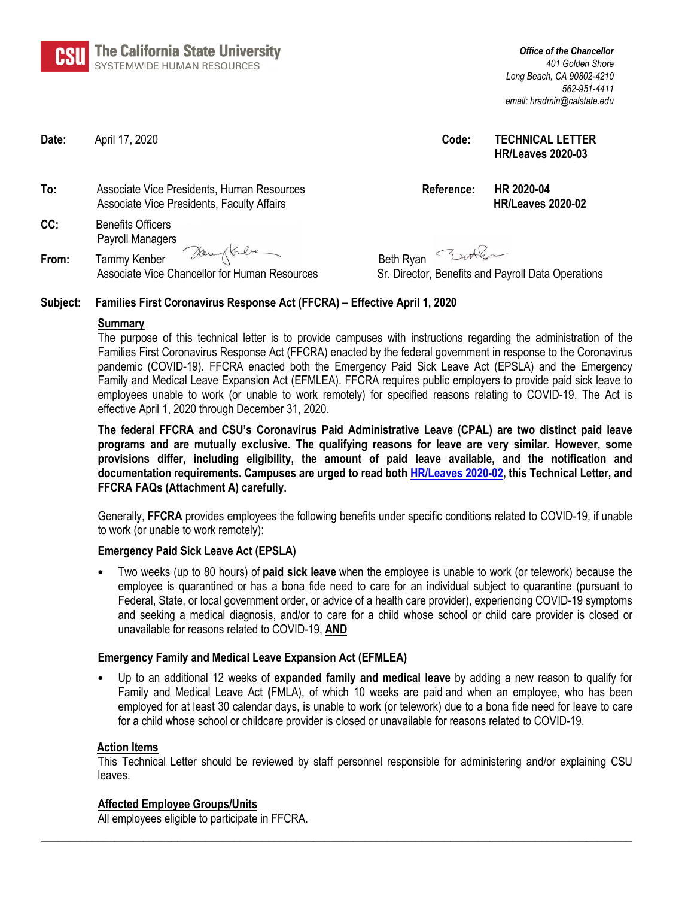**a:!ffl**  ~ **The California State University**  SYSTEMWIDE HUMAN RESOURCES

*Office of the Chancellor 401 Golden Shore Long Beach, CA 90802-4210 562-951-4411 email: hradmin@calstate.edu*

**Date:** April 17, 2020 **Code: TECHNICAL LETTER**

- **To:** Associate Vice Presidents, Human Resources **Reference: HR 2020-04**  Associate Vice Presidents, Faculty Affairs **HR/Leaves 2020-02**
- **CC:** Benefits Officers Payroll Managers From: Tammy Kenber Deuglasche Beth Ryan Burkler

Associate Vice Chancellor for Human Resources Sr. Director, Benefits and Payroll Data Operations

**HR/Leaves 2020-03**

## **Subject: Families First Coronavirus Response Act (FFCRA) – Effective April 1, 2020**

## **Summary**

The purpose of this technical letter is to provide campuses with instructions regarding the administration of the Families First Coronavirus Response Act (FFCRA) enacted by the federal government in response to the Coronavirus pandemic (COVID-19). FFCRA enacted both the Emergency Paid Sick Leave Act (EPSLA) and the Emergency Family and Medical Leave Expansion Act (EFMLEA). FFCRA requires public employers to provide paid sick leave to employees unable to work (or unable to work remotely) for specified reasons relating to COVID-19. The Act is effective April 1, 2020 through December 31, 2020.

**The federal FFCRA and CSU's Coronavirus Paid Administrative Leave (CPAL) are two distinct paid leave programs and are mutually exclusive. The qualifying reasons for leave are very similar. However, some provisions differ, including eligibility, the amount of paid leave available, and the notification and documentation requirements. Campuses are urged to read both [HR/Leaves 2020-02,](https://csyou.calstate.edu/Policies/HRPolicies/TL-LVS2020-02.pdf) this Technical Letter, and FFCRA FAQs (Attachment A) carefully.** 

Generally, **FFCRA** provides employees the following benefits under specific conditions related to COVID-19, if unable to work (or unable to work remotely):

## **Emergency Paid Sick Leave Act (EPSLA)**

• Two weeks (up to 80 hours) of **paid sick leave** when the employee is unable to work (or telework) because the employee is quarantined or has a bona fide need to care for an individual subject to quarantine (pursuant to Federal, State, or local government order, or advice of a health care provider), experiencing COVID-19 symptoms and seeking a medical diagnosis, and/or to care for a child whose school or child care provider is closed or unavailable for reasons related to COVID-19, **AND**

## **Emergency Family and Medical Leave Expansion Act (EFMLEA)**

• Up to an additional 12 weeks of **expanded family and medical leave** by adding a new reason to qualify for Family and Medical Leave Act **(**FMLA), of which 10 weeks are paid and when an employee, who has been employed for at least 30 calendar days, is unable to work (or telework) due to a bona fide need for leave to care for a child whose school or childcare provider is closed or unavailable for reasons related to COVID-19.

## **Action Items**

This Technical Letter should be reviewed by staff personnel responsible for administering and/or explaining CSU leaves.

**\_\_\_\_\_\_\_\_\_\_\_\_\_\_\_\_\_\_\_\_\_\_\_\_\_\_\_\_\_\_\_\_\_\_\_\_\_\_\_\_\_\_\_\_\_\_\_\_\_\_\_\_\_\_\_\_\_\_\_\_\_\_\_\_\_\_\_\_\_\_\_\_\_\_\_\_\_\_\_\_\_\_\_\_\_\_\_\_\_\_\_\_\_\_\_\_\_\_\_\_\_\_\_\_**

## **Affected Employee Groups/Units**

All employees eligible to participate in FFCRA.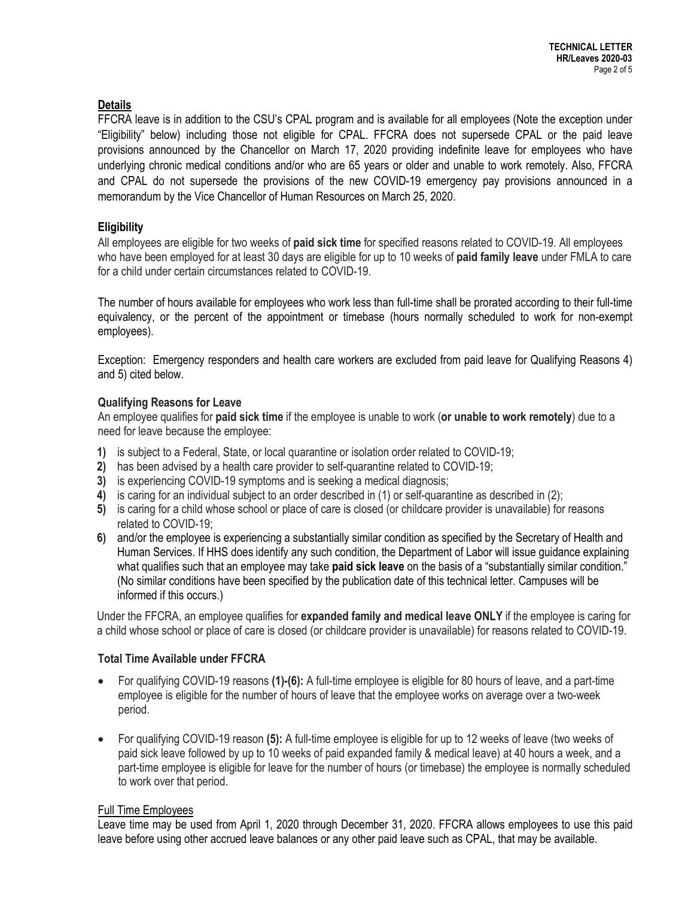## **Details**

FFCRA leave is in addition to the CSU's CPAL program and is available for all employees (Note the exception under "Eligibility" below) including those not eligible for CPAL. FFCRA does not supersede CPAL or the paid leave provisions announced by the Chancellor on March 17, 2020 providing indefinite leave for employees who have underlying chronic medical conditions and/or who are 65 years or older and unable to work remotely. Also, FFCRA and CPAL do not supersede the provisions of the new COVID-19 emergency pay provisions announced in a memorandum by the Vice Chancellor of Human Resources on March 25, 2020.

## **Eligibility**

All employees are eligible for two weeks of **paid sick time** for specified reasons related to COVID-19. All employees who have been employed for at least 30 days are eligible for up to 10 weeks of **paid family leave** under FMLA to care for a child under certain circumstances related to COVID-19.

The number of hours available for employees who work less than full-time shall be prorated according to their full-time equivalency, or the percent of the appointment or timebase (hours normally scheduled to work for non-exempt employees).

Exception: Emergency responders and health care workers are excluded from paid leave for Qualifying Reasons 4) and 5) cited below.

## **Qualifying Reasons for Leave**

An employee qualifies for **paid sick time** if the employee is unable to work (**or unable to work remotely**) due to a need for leave because the employee:

- **1)** is subject to a Federal, State, or local quarantine or isolation order related to COVID-19;
- **2)** has been advised by a health care provider to self-quarantine related to COVID-19;
- **3)** is experiencing COVID-19 symptoms and is seeking a medical diagnosis;
- **4)** is caring for an individual subject to an order described in (1) or self-quarantine as described in (2);
- **5)** is caring for a child whose school or place of care is closed (or childcare provider is unavailable) for reasons related to COVID-19;
- **6)** and/or the employee is experiencing a substantially similar condition as specified by the Secretary of Health and Human Services. If HHS does identify any such condition, the Department of Labor will issue guidance explaining what qualifies such that an employee may take **paid sick leave** on the basis of a "substantially similar condition." (No similar conditions have been specified by the publication date of this technical letter. Campuses will be informed if this occurs.)

Under the FFCRA, an employee qualifies for **expanded family and medical leave ONLY** if the employee is caring for a child whose school or place of care is closed (or childcare provider is unavailable) for reasons related to COVID-19.

## **Total Time Available under FFCRA**

- For qualifying COVID-19 reasons **(1)-(6):** A full-time employee is eligible for 80 hours of leave, and a part-time employee is eligible for the number of hours of leave that the employee works on average over a two-week period.
- For qualifying COVID-19 reason **(5):** A full-time employee is eligible for up to 12 weeks of leave (two weeks of paid sick leave followed by up to 10 weeks of paid expanded family & medical leave) at 40 hours a week, and a part-time employee is eligible for leave for the number of hours (or timebase) the employee is normally scheduled to work over that period.

## Full Time Employees

Leave time may be used from April 1, 2020 through December 31, 2020. FFCRA allows employees to use this paid leave before using other accrued leave balances or any other paid leave such as CPAL, that may be available.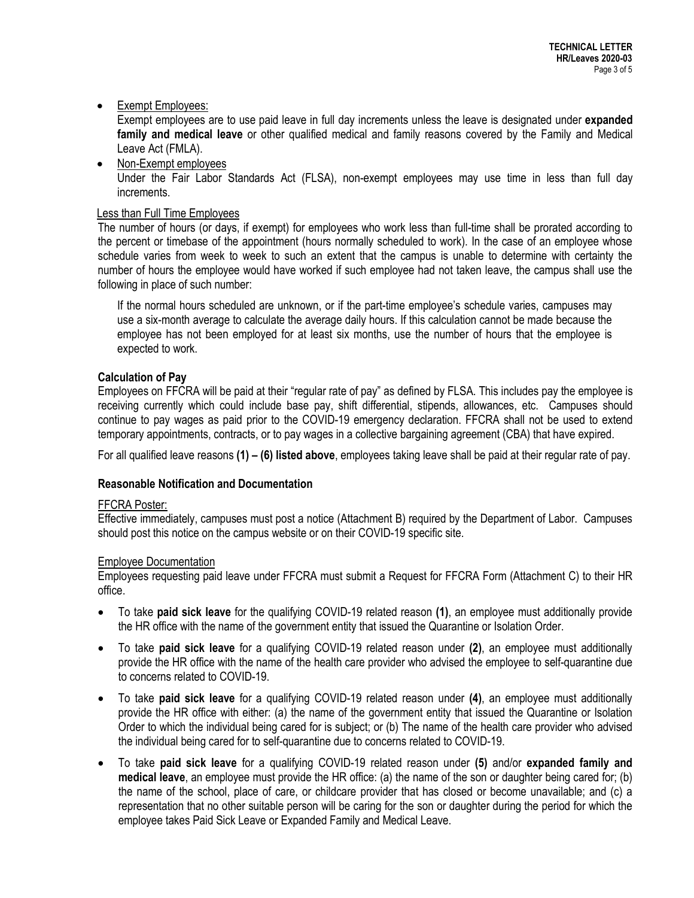## • Exempt Employees:

Exempt employees are to use paid leave in full day increments unless the leave is designated under **expanded family and medical leave** or other qualified medical and family reasons covered by the Family and Medical Leave Act (FMLA).

• Non-Exempt employees Under the Fair Labor Standards Act (FLSA), non-exempt employees may use time in less than full day increments.

## Less than Full Time Employees

The number of hours (or days, if exempt) for employees who work less than full-time shall be prorated according to the percent or timebase of the appointment (hours normally scheduled to work). In the case of an employee whose schedule varies from week to week to such an extent that the campus is unable to determine with certainty the number of hours the employee would have worked if such employee had not taken leave, the campus shall use the following in place of such number:

If the normal hours scheduled are unknown, or if the part-time employee's schedule varies, campuses may use a six-month average to calculate the average daily hours. If this calculation cannot be made because the employee has not been employed for at least six months, use the number of hours that the employee is expected to work.

## **Calculation of Pay**

Employees on FFCRA will be paid at their "regular rate of pay" as defined by FLSA. This includes pay the employee is receiving currently which could include base pay, shift differential, stipends, allowances, etc. Campuses should continue to pay wages as paid prior to the COVID-19 emergency declaration. FFCRA shall not be used to extend temporary appointments, contracts, or to pay wages in a collective bargaining agreement (CBA) that have expired.

For all qualified leave reasons **(1) – (6) listed above**, employees taking leave shall be paid at their regular rate of pay.

## **Reasonable Notification and Documentation**

## FFCRA Poster:

Effective immediately, campuses must post a notice (Attachment B) required by the Department of Labor. Campuses should post this notice on the campus website or on their COVID-19 specific site.

## Employee Documentation

Employees requesting paid leave under FFCRA must submit a Request for FFCRA Form (Attachment C) to their HR office.

- To take **paid sick leave** for the qualifying COVID-19 related reason **(1)**, an employee must additionally provide the HR office with the name of the government entity that issued the Quarantine or Isolation Order.
- To take **paid sick leave** for a qualifying COVID-19 related reason under **(2)**, an employee must additionally provide the HR office with the name of the health care provider who advised the employee to self-quarantine due to concerns related to COVID-19.
- To take **paid sick leave** for a qualifying COVID-19 related reason under **(4)**, an employee must additionally provide the HR office with either: (a) the name of the government entity that issued the Quarantine or Isolation Order to which the individual being cared for is subject; or (b) The name of the health care provider who advised the individual being cared for to self-quarantine due to concerns related to COVID-19.
- To take **paid sick leave** for a qualifying COVID-19 related reason under **(5)** and/or **expanded family and medical leave**, an employee must provide the HR office: (a) the name of the son or daughter being cared for; (b) the name of the school, place of care, or childcare provider that has closed or become unavailable; and (c) a representation that no other suitable person will be caring for the son or daughter during the period for which the employee takes Paid Sick Leave or Expanded Family and Medical Leave.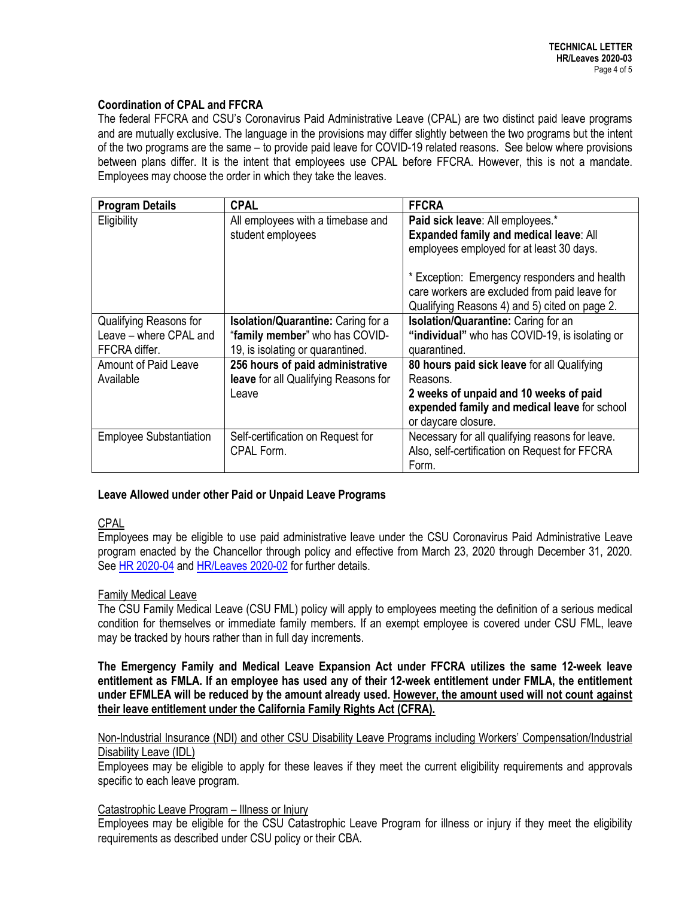## **Coordination of CPAL and FFCRA**

The federal FFCRA and CSU's Coronavirus Paid Administrative Leave (CPAL) are two distinct paid leave programs and are mutually exclusive. The language in the provisions may differ slightly between the two programs but the intent of the two programs are the same – to provide paid leave for COVID-19 related reasons. See below where provisions between plans differ. It is the intent that employees use CPAL before FFCRA. However, this is not a mandate. Employees may choose the order in which they take the leaves.

| <b>Program Details</b>         | <b>CPAL</b>                          | <b>FFCRA</b>                                    |
|--------------------------------|--------------------------------------|-------------------------------------------------|
| Eligibility                    | All employees with a timebase and    | Paid sick leave: All employees.*                |
|                                | student employees                    | Expanded family and medical leave: All          |
|                                |                                      | employees employed for at least 30 days.        |
|                                |                                      | * Exception: Emergency responders and health    |
|                                |                                      | care workers are excluded from paid leave for   |
|                                |                                      | Qualifying Reasons 4) and 5) cited on page 2.   |
| Qualifying Reasons for         | Isolation/Quarantine: Caring for a   | Isolation/Quarantine: Caring for an             |
| Leave - where CPAL and         | "family member" who has COVID-       | "individual" who has COVID-19, is isolating or  |
| FFCRA differ.                  | 19, is isolating or quarantined.     | quarantined.                                    |
| <b>Amount of Paid Leave</b>    | 256 hours of paid administrative     | 80 hours paid sick leave for all Qualifying     |
| Available                      | leave for all Qualifying Reasons for | Reasons.                                        |
|                                | Leave                                | 2 weeks of unpaid and 10 weeks of paid          |
|                                |                                      | expended family and medical leave for school    |
|                                |                                      | or daycare closure.                             |
| <b>Employee Substantiation</b> | Self-certification on Request for    | Necessary for all qualifying reasons for leave. |
|                                | CPAL Form.                           | Also, self-certification on Request for FFCRA   |
|                                |                                      | Form.                                           |

## **Leave Allowed under other Paid or Unpaid Leave Programs**

## CPAL

Employees may be eligible to use paid administrative leave under the CSU Coronavirus Paid Administrative Leave program enacted by the Chancellor through policy and effective from March 23, 2020 through December 31, 2020. See [HR 2020-04](https://csyou.calstate.edu/Policies/HRPolicies/HR2020-04.pdf) an[d HR/Leaves 2020-02](https://csyou.calstate.edu/Policies/HRPolicies/TL-LVS2020-02.pdf) for further details.

## Family Medical Leave

The CSU Family Medical Leave (CSU FML) policy will apply to employees meeting the definition of a serious medical condition for themselves or immediate family members. If an exempt employee is covered under CSU FML, leave may be tracked by hours rather than in full day increments.

**The Emergency Family and Medical Leave Expansion Act under FFCRA utilizes the same 12-week leave entitlement as FMLA. If an employee has used any of their 12-week entitlement under FMLA, the entitlement under EFMLEA will be reduced by the amount already used. However, the amount used will not count against their leave entitlement under the California Family Rights Act (CFRA).**

Non-Industrial Insurance (NDI) and other CSU Disability Leave Programs including Workers' Compensation/Industrial Disability Leave (IDL)

Employees may be eligible to apply for these leaves if they meet the current eligibility requirements and approvals specific to each leave program.

## Catastrophic Leave Program – Illness or Injury

Employees may be eligible for the CSU Catastrophic Leave Program for illness or injury if they meet the eligibility requirements as described under CSU policy or their CBA.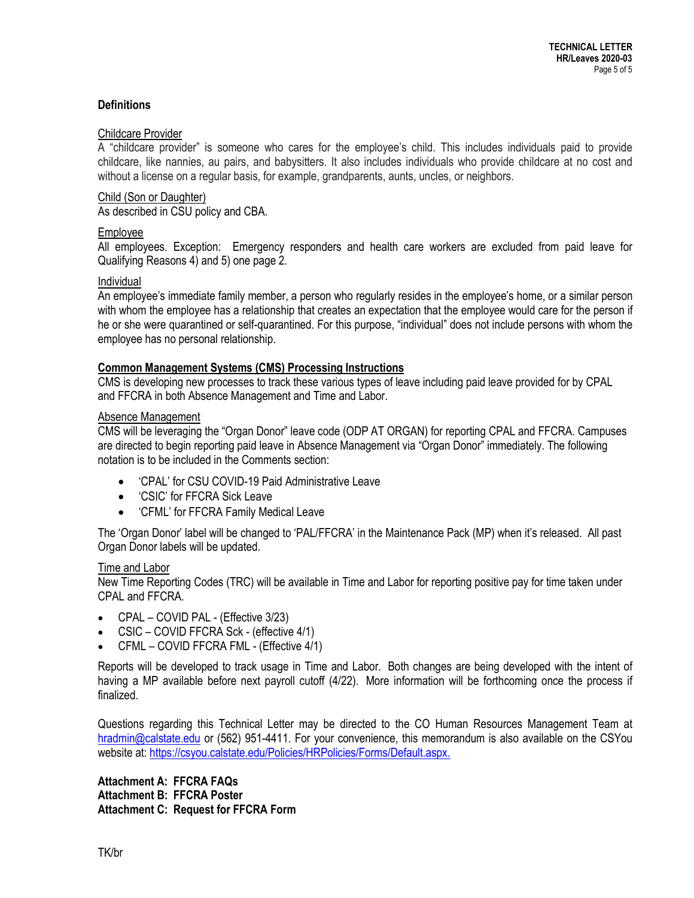## **Definitions**

#### Childcare Provider

A "childcare provider" is someone who cares for the employee's child. This includes individuals paid to provide childcare, like nannies, au pairs, and babysitters. It also includes individuals who provide childcare at no cost and without a license on a regular basis, for example, grandparents, aunts, uncles, or neighbors.

## Child (Son or Daughter)

As described in CSU policy and CBA.

## Employee

All employees. Exception: Emergency responders and health care workers are excluded from paid leave for Qualifying Reasons 4) and 5) one page 2.

#### Individual

An employee's immediate family member, a person who regularly resides in the employee's home, or a similar person with whom the employee has a relationship that creates an expectation that the employee would care for the person if he or she were quarantined or self-quarantined. For this purpose, "individual" does not include persons with whom the employee has no personal relationship.

## **Common Management Systems (CMS) Processing Instructions**

CMS is developing new processes to track these various types of leave including paid leave provided for by CPAL and FFCRA in both Absence Management and Time and Labor.

#### Absence Management

CMS will be leveraging the "Organ Donor" leave code (ODP AT ORGAN) for reporting CPAL and FFCRA. Campuses are directed to begin reporting paid leave in Absence Management via "Organ Donor" immediately. The following notation is to be included in the Comments section:

- 'CPAL' for CSU COVID-19 Paid Administrative Leave
- 'CSIC' for FFCRA Sick Leave
- 'CFML' for FFCRA Family Medical Leave

The 'Organ Donor' label will be changed to 'PAL/FFCRA' in the Maintenance Pack (MP) when it's released. All past Organ Donor labels will be updated.

#### Time and Labor

New Time Reporting Codes (TRC) will be available in Time and Labor for reporting positive pay for time taken under CPAL and FFCRA.

- CPAL COVID PAL (Effective 3/23)
- CSIC COVID FFCRA Sck (effective 4/1)
- CFML COVID FFCRA FML (Effective 4/1)

Reports will be developed to track usage in Time and Labor. Both changes are being developed with the intent of having a MP available before next payroll cutoff (4/22). More information will be forthcoming once the process if finalized.

Questions regarding this Technical Letter may be directed to the CO Human Resources Management Team at [hradmin@calstate.edu](mailto:hradmin@calstate.edu) or (562) 951-4411. For your convenience, this memorandum is also available on the CSYou website at: [https://csyou.calstate.edu/Policies/HRPolicies/Forms/Default.aspx.](https://csyou.calstate.edu/Policies/HRPolicies/Forms/Default.aspx)

**Attachment A: FFCRA FAQs Attachment B: FFCRA Poster Attachment C: Request for FFCRA Form**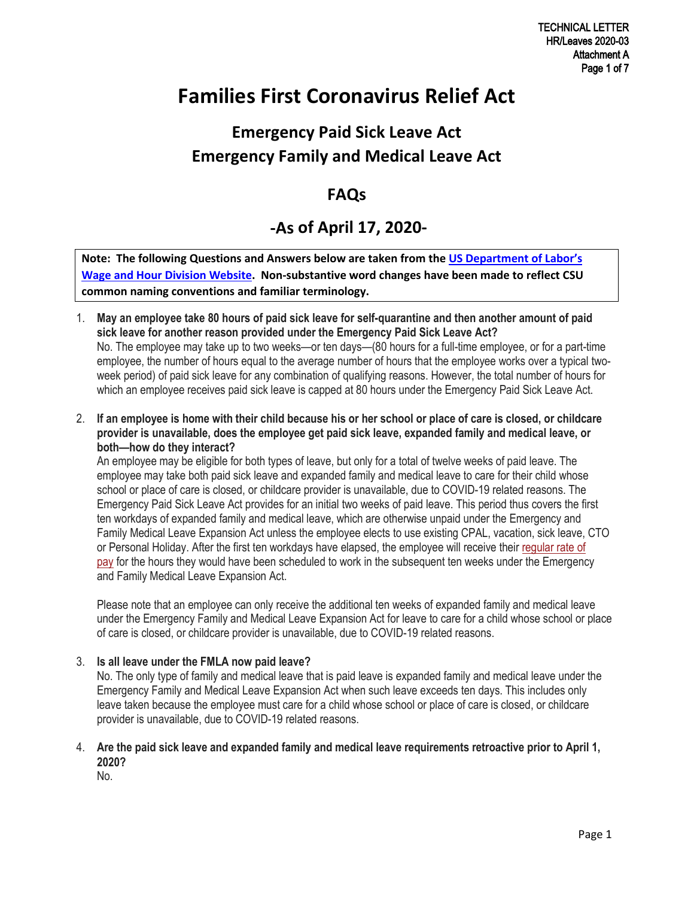## **Families First Coronavirus Relief Act**

## **Emergency Paid Sick Leave Act Emergency Family and Medical Leave Act**

## **FAQs**

## **-As of April 17, 2020-**

**Note: The following Questions and Answers below are taken from the [US Department of Labor's](https://www.dol.gov/agencies/whd/pandemic)  [Wage and Hour Division Website.](https://www.dol.gov/agencies/whd/pandemic) Non-substantive word changes have been made to reflect CSU common naming conventions and familiar terminology.**

- 1. **May an employee take 80 hours of paid sick leave for self-quarantine and then another amount of paid sick leave for another reason provided under the Emergency Paid Sick Leave Act?** No. The employee may take up to two weeks—or ten days—(80 hours for a full-time employee, or for a part-time employee, the number of hours equal to the average number of hours that the employee works over a typical twoweek period) of paid sick leave for any combination of qualifying reasons. However, the total number of hours for which an employee receives paid sick leave is capped at 80 hours under the Emergency Paid Sick Leave Act.
- 2. **If an employee is home with their child because his or her school or place of care is closed, or childcare provider is unavailable, does the employee get paid sick leave, expanded family and medical leave, or both—how do they interact?**

An employee may be eligible for both types of leave, but only for a total of twelve weeks of paid leave. The employee may take both paid sick leave and expanded family and medical leave to care for their child whose school or place of care is closed, or childcare provider is unavailable, due to COVID-19 related reasons. The Emergency Paid Sick Leave Act provides for an initial two weeks of paid leave. This period thus covers the first ten workdays of expanded family and medical leave, which are otherwise unpaid under the Emergency and Family Medical Leave Expansion Act unless the employee elects to use existing CPAL, vacation, sick leave, CTO or Personal Holiday. After the first ten workdays have elapsed, the employee will receive their [regular rate of](https://www.dol.gov/agencies/whd/fact-sheets/56a-regular-rate) [pay](https://www.dol.gov/agencies/whd/fact-sheets/56a-regular-rate) for the hours they would have been scheduled to work in the subsequent ten weeks under the Emergency and Family Medical Leave Expansion Act.

Please note that an employee can only receive the additional ten weeks of expanded family and medical leave under the Emergency Family and Medical Leave Expansion Act for leave to care for a child whose school or place of care is closed, or childcare provider is unavailable, due to COVID-19 related reasons.

## 3. **Is all leave under the FMLA now paid leave?**

No. The only type of family and medical leave that is paid leave is expanded family and medical leave under the Emergency Family and Medical Leave Expansion Act when such leave exceeds ten days. This includes only leave taken because the employee must care for a child whose school or place of care is closed, or childcare provider is unavailable, due to COVID-19 related reasons.

## 4. **Are the paid sick leave and expanded family and medical leave requirements retroactive prior to April 1, 2020?**

No.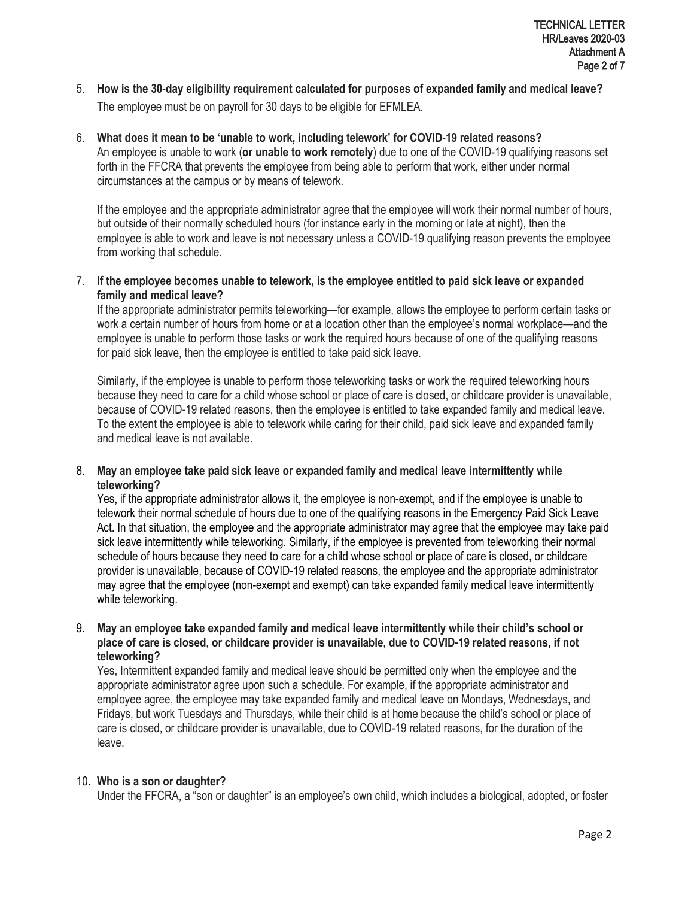- 5. **How is the 30-day eligibility requirement calculated for purposes of expanded family and medical leave?** The employee must be on payroll for 30 days to be eligible for EFMLEA.
- 6. **What does it mean to be 'unable to work, including telework' for COVID-19 related reasons?** An employee is unable to work (**or unable to work remotely**) due to one of the COVID-19 qualifying reasons set forth in the FFCRA that prevents the employee from being able to perform that work, either under normal circumstances at the campus or by means of telework.

If the employee and the appropriate administrator agree that the employee will work their normal number of hours, but outside of their normally scheduled hours (for instance early in the morning or late at night), then the employee is able to work and leave is not necessary unless a COVID-19 qualifying reason prevents the employee from working that schedule.

7. **If the employee becomes unable to telework, is the employee entitled to paid sick leave or expanded family and medical leave?**

If the appropriate administrator permits teleworking—for example, allows the employee to perform certain tasks or work a certain number of hours from home or at a location other than the employee's normal workplace—and the employee is unable to perform those tasks or work the required hours because of one of the qualifying reasons for paid sick leave, then the employee is entitled to take paid sick leave.

Similarly, if the employee is unable to perform those teleworking tasks or work the required teleworking hours because they need to care for a child whose school or place of care is closed, or childcare provider is unavailable, because of COVID-19 related reasons, then the employee is entitled to take expanded family and medical leave. To the extent the employee is able to telework while caring for their child, paid sick leave and expanded family and medical leave is not available.

## 8. **May an employee take paid sick leave or expanded family and medical leave intermittently while teleworking?**

Yes, if the appropriate administrator allows it, the employee is non-exempt, and if the employee is unable to telework their normal schedule of hours due to one of the qualifying reasons in the Emergency Paid Sick Leave Act. In that situation, the employee and the appropriate administrator may agree that the employee may take paid sick leave intermittently while teleworking. Similarly, if the employee is prevented from teleworking their normal schedule of hours because they need to care for a child whose school or place of care is closed, or childcare provider is unavailable, because of COVID-19 related reasons, the employee and the appropriate administrator may agree that the employee (non-exempt and exempt) can take expanded family medical leave intermittently while teleworking.

## 9. **May an employee take expanded family and medical leave intermittently while their child's school or place of care is closed, or childcare provider is unavailable, due to COVID-19 related reasons, if not teleworking?**

Yes, Intermittent expanded family and medical leave should be permitted only when the employee and the appropriate administrator agree upon such a schedule. For example, if the appropriate administrator and employee agree, the employee may take expanded family and medical leave on Mondays, Wednesdays, and Fridays, but work Tuesdays and Thursdays, while their child is at home because the child's school or place of care is closed, or childcare provider is unavailable, due to COVID-19 related reasons, for the duration of the leave.

## 10. **Who is a son or daughter?**

Under the FFCRA, a "son or daughter" is an employee's own child, which includes a biological, adopted, or foster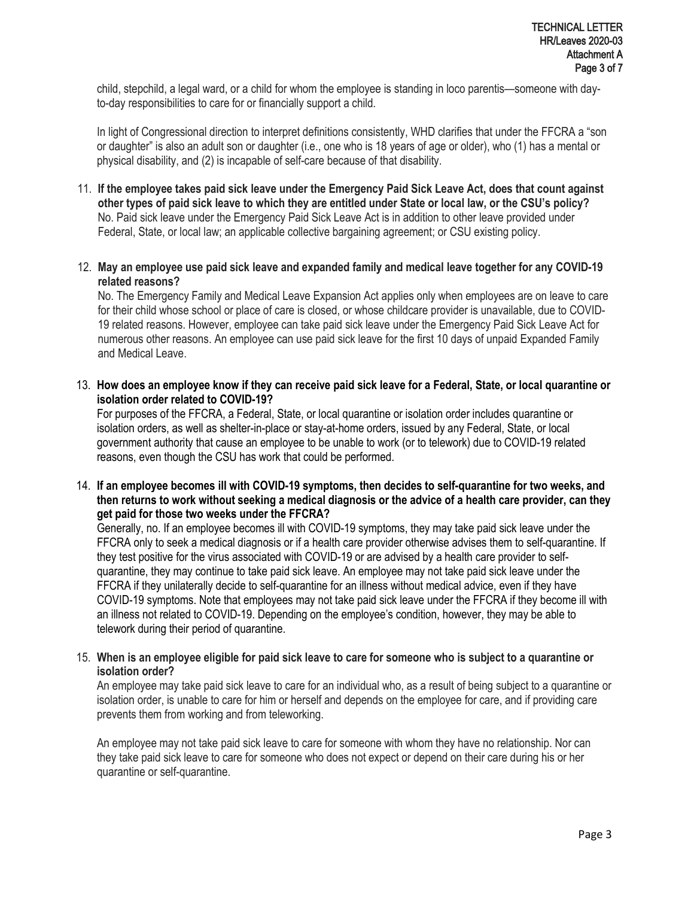child, stepchild, a legal ward, or a child for whom the employee is standing in loco parentis—someone with dayto-day responsibilities to care for or financially support a child.

In light of Congressional direction to interpret definitions consistently, WHD clarifies that under the FFCRA a "son or daughter" is also an adult son or daughter (i.e., one who is 18 years of age or older), who (1) has a mental or physical disability, and (2) is incapable of self-care because of that disability.

- 11. **If the employee takes paid sick leave under the Emergency Paid Sick Leave Act, does that count against other types of paid sick leave to which they are entitled under State or local law, or the CSU's policy?** No. Paid sick leave under the Emergency Paid Sick Leave Act is in addition to other leave provided under Federal, State, or local law; an applicable collective bargaining agreement; or CSU existing policy.
- 12. **May an employee use paid sick leave and expanded family and medical leave together for any COVID-19 related reasons?**

No. The Emergency Family and Medical Leave Expansion Act applies only when employees are on leave to care for their child whose school or place of care is closed, or whose childcare provider is unavailable, due to COVID-19 related reasons. However, employee can take paid sick leave under the Emergency Paid Sick Leave Act for numerous other reasons. An employee can use paid sick leave for the first 10 days of unpaid Expanded Family and Medical Leave.

13. **How does an employee know if they can receive paid sick leave for a Federal, State, or local quarantine or isolation order related to COVID-19?**

For purposes of the FFCRA, a Federal, State, or local quarantine or isolation order includes quarantine or isolation orders, as well as shelter-in-place or stay-at-home orders, issued by any Federal, State, or local government authority that cause an employee to be unable to work (or to telework) due to COVID-19 related reasons, even though the CSU has work that could be performed.

14. **If an employee becomes ill with COVID-19 symptoms, then decides to self-quarantine for two weeks, and then returns to work without seeking a medical diagnosis or the advice of a health care provider, can they get paid for those two weeks under the FFCRA?**

Generally, no. If an employee becomes ill with COVID-19 symptoms, they may take paid sick leave under the FFCRA only to seek a medical diagnosis or if a health care provider otherwise advises them to self-quarantine. If they test positive for the virus associated with COVID-19 or are advised by a health care provider to selfquarantine, they may continue to take paid sick leave. An employee may not take paid sick leave under the FFCRA if they unilaterally decide to self-quarantine for an illness without medical advice, even if they have COVID-19 symptoms. Note that employees may not take paid sick leave under the FFCRA if they become ill with an illness not related to COVID-19. Depending on the employee's condition, however, they may be able to telework during their period of quarantine.

## 15. **When is an employee eligible for paid sick leave to care for someone who is subject to a quarantine or isolation order?**

An employee may take paid sick leave to care for an individual who, as a result of being subject to a quarantine or isolation order, is unable to care for him or herself and depends on the employee for care, and if providing care prevents them from working and from teleworking.

An employee may not take paid sick leave to care for someone with whom they have no relationship. Nor can they take paid sick leave to care for someone who does not expect or depend on their care during his or her quarantine or self-quarantine.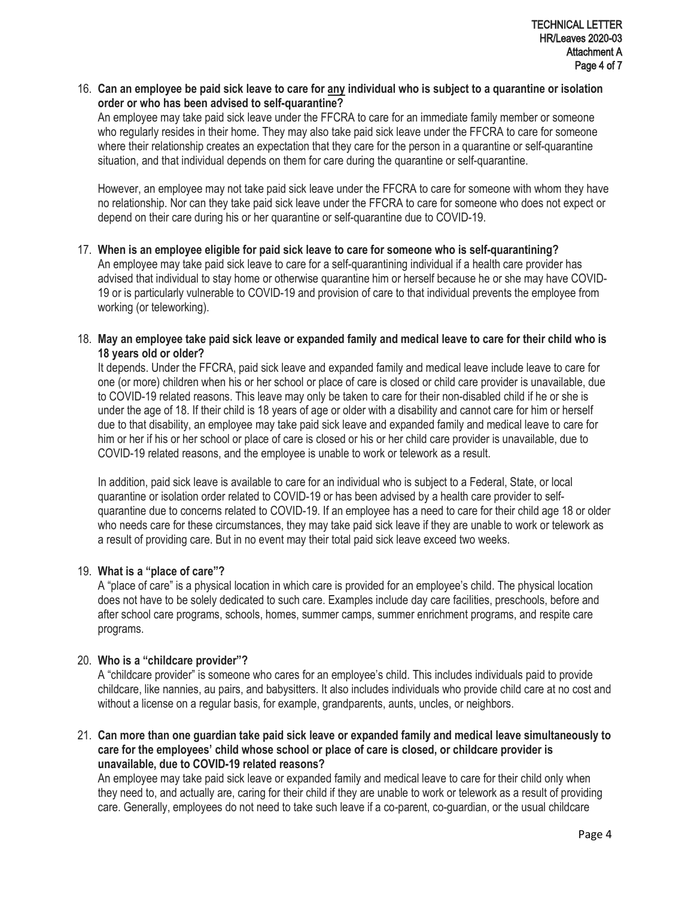16. Can an employee be paid sick leave to care for <u>any</u> individual who is subject to a quarantine or isolation<br>
order or who has hean advised to self-guarantine? **order or who has been advised to self-quarantine?**

An employee may take paid sick leave under the FFCRA to care for an immediate family member or someone who regularly resides in their home. They may also take paid sick leave under the FFCRA to care for someone where their relationship creates an expectation that they care for the person in a quarantine or self-quarantine situation, and that individual depends on them for care during the quarantine or self-quarantine.

However, an employee may not take paid sick leave under the FFCRA to care for someone with whom they have no relationship. Nor can they take paid sick leave under the FFCRA to care for someone who does not expect or depend on their care during his or her quarantine or self-quarantine due to COVID-19.

- 17. **When is an employee eligible for paid sick leave to care for someone who is self-quarantining?** An employee may take paid sick leave to care for a self-quarantining individual if a health care provider has advised that individual to stay home or otherwise quarantine him or herself because he or she may have COVID-19 or is particularly vulnerable to COVID-19 and provision of care to that individual prevents the employee from working (or teleworking).
- 18. **May an employee take paid sick leave or expanded family and medical leave to care for their child who is 18 years old or older?**

It depends. Under the FFCRA, paid sick leave and expanded family and medical leave include leave to care for one (or more) children when his or her school or place of care is closed or child care provider is unavailable, due to COVID-19 related reasons. This leave may only be taken to care for their non-disabled child if he or she is under the age of 18. If their child is 18 years of age or older with a disability and cannot care for him or herself due to that disability, an employee may take paid sick leave and expanded family and medical leave to care for him or her if his or her school or place of care is closed or his or her child care provider is unavailable, due to COVID-19 related reasons, and the employee is unable to work or telework as a result.

In addition, paid sick leave is available to care for an individual who is subject to a Federal, State, or local quarantine or isolation order related to COVID-19 or has been advised by a health care provider to selfquarantine due to concerns related to COVID-19. If an employee has a need to care for their child age 18 or older who needs care for these circumstances, they may take paid sick leave if they are unable to work or telework as a result of providing care. But in no event may their total paid sick leave exceed two weeks.

## 19. **What is a "place of care"?**

A "place of care" is a physical location in which care is provided for an employee's child. The physical location does not have to be solely dedicated to such care. Examples include day care facilities, preschools, before and after school care programs, schools, homes, summer camps, summer enrichment programs, and respite care programs.

## 20. **Who is a "childcare provider"?**

A "childcare provider" is someone who cares for an employee's child. This includes individuals paid to provide childcare, like nannies, au pairs, and babysitters. It also includes individuals who provide child care at no cost and without a license on a regular basis, for example, grandparents, aunts, uncles, or neighbors.

21. **Can more than one guardian take paid sick leave or expanded family and medical leave simultaneously to care for the employees' child whose school or place of care is closed, or childcare provider is unavailable, due to COVID-19 related reasons?**

An employee may take paid sick leave or expanded family and medical leave to care for their child only when they need to, and actually are, caring for their child if they are unable to work or telework as a result of providing care. Generally, employees do not need to take such leave if a co-parent, co-guardian, or the usual childcare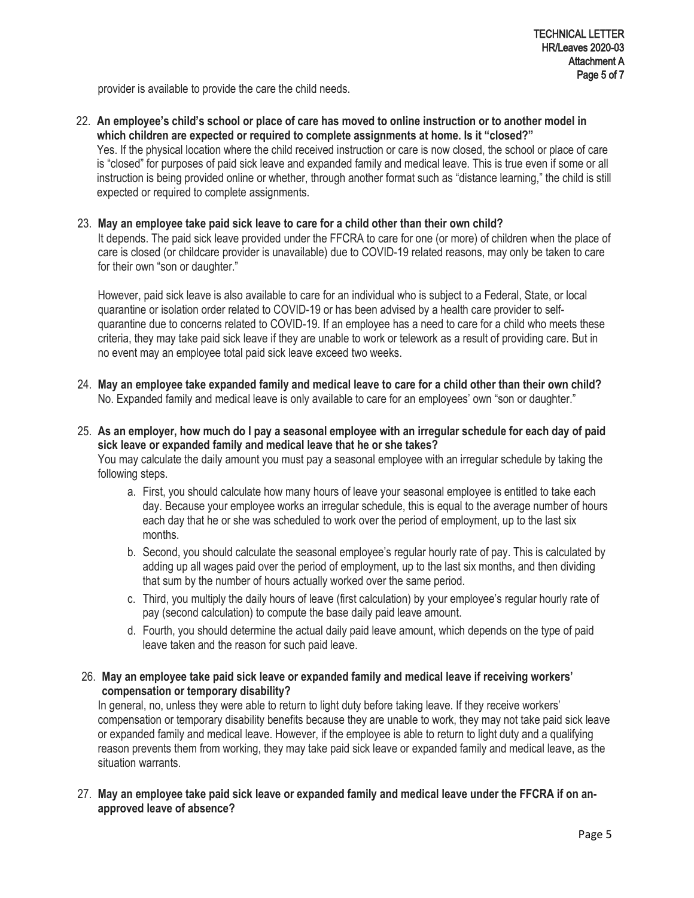provider is available to provide the care the child needs.

22. **An employee's child's school or place of care has moved to online instruction or to another model in which children are expected or required to complete assignments at home. Is it "closed?"** Yes. If the physical location where the child received instruction or care is now closed, the school or place of care is "closed" for purposes of paid sick leave and expanded family and medical leave. This is true even if some or all instruction is being provided online or whether, through another format such as "distance learning," the child is still expected or required to complete assignments.

#### 23. **May an employee take paid sick leave to care for a child other than their own child?**

It depends. The paid sick leave provided under the FFCRA to care for one (or more) of children when the place of care is closed (or childcare provider is unavailable) due to COVID-19 related reasons, may only be taken to care for their own "son or daughter."

However, paid sick leave is also available to care for an individual who is subject to a Federal, State, or local quarantine or isolation order related to COVID-19 or has been advised by a health care provider to selfquarantine due to concerns related to COVID-19. If an employee has a need to care for a child who meets these criteria, they may take paid sick leave if they are unable to work or telework as a result of providing care. But in no event may an employee total paid sick leave exceed two weeks.

- 24. **May an employee take expanded family and medical leave to care for a child other than their own child?** No. Expanded family and medical leave is only available to care for an employees' own "son or daughter."
- 25. **As an employer, how much do I pay a seasonal employee with an irregular schedule for each day of paid sick leave or expanded family and medical leave that he or she takes?**

You may calculate the daily amount you must pay a seasonal employee with an irregular schedule by taking the following steps.

- a. First, you should calculate how many hours of leave your seasonal employee is entitled to take each day. Because your employee works an irregular schedule, this is equal to the average number of hours each day that he or she was scheduled to work over the period of employment, up to the last six months.
- b. Second, you should calculate the seasonal employee's regular hourly rate of pay. This is calculated by adding up all wages paid over the period of employment, up to the last six months, and then dividing that sum by the number of hours actually worked over the same period.
- c. Third, you multiply the daily hours of leave (first calculation) by your employee's regular hourly rate of pay (second calculation) to compute the base daily paid leave amount.
- d. Fourth, you should determine the actual daily paid leave amount, which depends on the type of paid leave taken and the reason for such paid leave.
- 26. **May an employee take paid sick leave or expanded family and medical leave if receiving workers' compensation or temporary disability?**

In general, no, unless they were able to return to light duty before taking leave. If they receive workers' compensation or temporary disability benefits because they are unable to work, they may not take paid sick leave or expanded family and medical leave. However, if the employee is able to return to light duty and a qualifying reason prevents them from working, they may take paid sick leave or expanded family and medical leave, as the situation warrants.

27. **May an employee take paid sick leave or expanded family and medical leave under the FFCRA if on anapproved leave of absence?**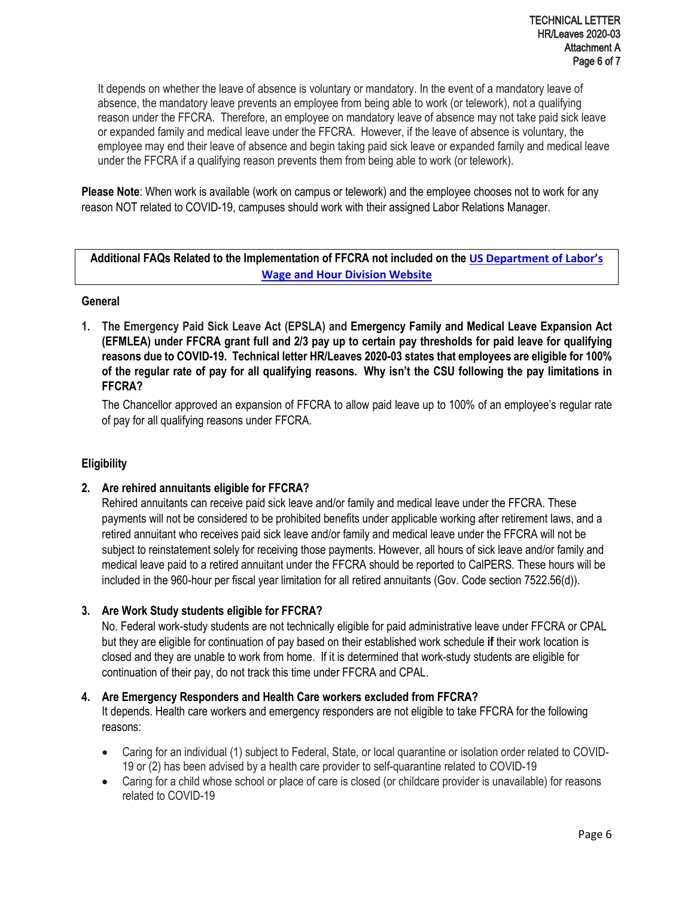It depends on whether the leave of absence is voluntary or mandatory. In the event of a mandatory leave of absence, the mandatory leave prevents an employee from being able to work (or telework), not a qualifying reason under the FFCRA. Therefore, an employee on mandatory leave of absence may not take paid sick leave or expanded family and medical leave under the FFCRA. However, if the leave of absence is voluntary, the employee may end their leave of absence and begin taking paid sick leave or expanded family and medical leave under the FFCRA if a qualifying reason prevents them from being able to work (or telework).

**Please Note**: When work is available (work on campus or telework) and the employee chooses not to work for any reason NOT related to COVID-19, campuses should work with their assigned Labor Relations Manager.

## **Additional FAQs Related to the Implementation of FFCRA not included on the [US Department of Labor's](https://www.dol.gov/agencies/whd/pandemic)  [Wage and Hour Division Website](https://www.dol.gov/agencies/whd/pandemic)**

## **General**

**1. The Emergency Paid Sick Leave Act (EPSLA) and Emergency Family and Medical Leave Expansion Act (EFMLEA) under FFCRA grant full and 2/3 pay up to certain pay thresholds for paid leave for qualifying reasons due to COVID-19. Technical letter HR/Leaves 2020-03 states that employees are eligible for 100% of the regular rate of pay for all qualifying reasons. Why isn't the CSU following the pay limitations in FFCRA?**

The Chancellor approved an expansion of FFCRA to allow paid leave up to 100% of an employee's regular rate of pay for all qualifying reasons under FFCRA.

## **Eligibility**

## **2. Are rehired annuitants eligible for FFCRA?**

Rehired annuitants can receive paid sick leave and/or family and medical leave under the FFCRA. These payments will not be considered to be prohibited benefits under applicable working after retirement laws, and a retired annuitant who receives paid sick leave and/or family and medical leave under the FFCRA will not be subject to reinstatement solely for receiving those payments. However, all hours of sick leave and/or family and medical leave paid to a retired annuitant under the FFCRA should be reported to CalPERS. These hours will be included in the 960-hour per fiscal year limitation for all retired annuitants (Gov. Code section 7522.56(d)).

## **3. Are Work Study students eligible for FFCRA?**

No. Federal work-study students are not technically eligible for paid administrative leave under FFCRA or CPAL but they are eligible for continuation of pay based on their established work schedule **if** their work location is closed and they are unable to work from home. If it is determined that work-study students are eligible for continuation of their pay, do not track this time under FFCRA and CPAL.

## **4. Are Emergency Responders and Health Care workers excluded from FFCRA?**

It depends. Health care workers and emergency responders are not eligible to take FFCRA for the following reasons:

- Caring for an individual (1) subject to Federal, State, or local quarantine or isolation order related to COVID-19 or (2) has been advised by a health care provider to self-quarantine related to COVID-19
- Caring for a child whose school or place of care is closed (or childcare provider is unavailable) for reasons related to COVID-19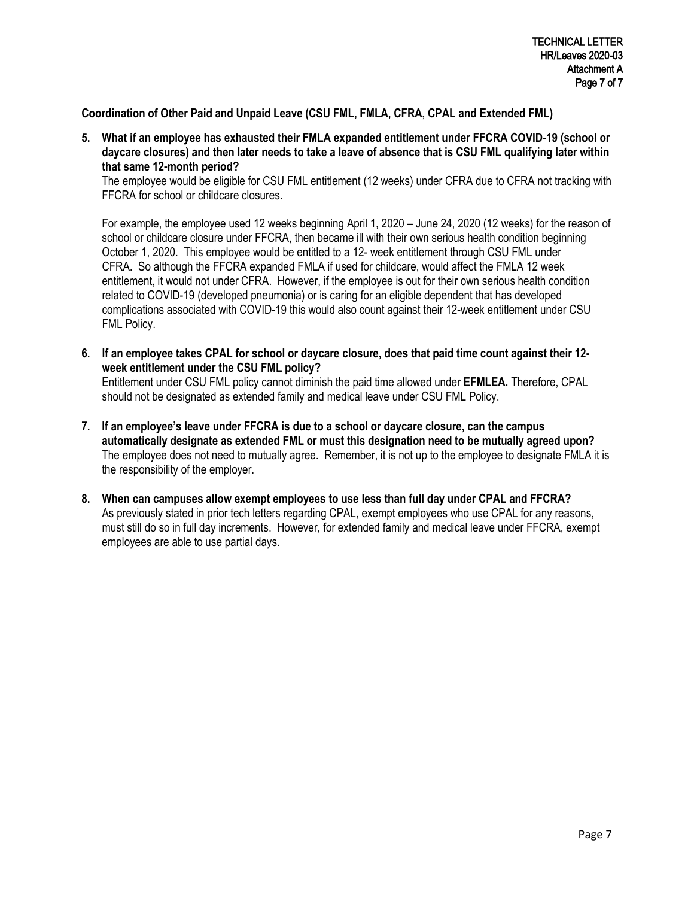## **Coordination of Other Paid and Unpaid Leave (CSU FML, FMLA, CFRA, CPAL and Extended FML)**

**5. What if an employee has exhausted their FMLA expanded entitlement under FFCRA COVID-19 (school or daycare closures) and then later needs to take a leave of absence that is CSU FML qualifying later within that same 12-month period?**

The employee would be eligible for CSU FML entitlement (12 weeks) under CFRA due to CFRA not tracking with FFCRA for school or childcare closures.

For example, the employee used 12 weeks beginning April 1, 2020 – June 24, 2020 (12 weeks) for the reason of school or childcare closure under FFCRA, then became ill with their own serious health condition beginning October 1, 2020. This employee would be entitled to a 12- week entitlement through CSU FML under CFRA. So although the FFCRA expanded FMLA if used for childcare, would affect the FMLA 12 week entitlement, it would not under CFRA. However, if the employee is out for their own serious health condition related to COVID-19 (developed pneumonia) or is caring for an eligible dependent that has developed complications associated with COVID-19 this would also count against their 12-week entitlement under CSU FML Policy.

**6. If an employee takes CPAL for school or daycare closure, does that paid time count against their 12 week entitlement under the CSU FML policy?**

Entitlement under CSU FML policy cannot diminish the paid time allowed under **EFMLEA.** Therefore, CPAL should not be designated as extended family and medical leave under CSU FML Policy.

- **7. If an employee's leave under FFCRA is due to a school or daycare closure, can the campus automatically designate as extended FML or must this designation need to be mutually agreed upon?** The employee does not need to mutually agree. Remember, it is not up to the employee to designate FMLA it is the responsibility of the employer.
- **8. When can campuses allow exempt employees to use less than full day under CPAL and FFCRA?** As previously stated in prior tech letters regarding CPAL, exempt employees who use CPAL for any reasons, must still do so in full day increments. However, for extended family and medical leave under FFCRA, exempt employees are able to use partial days.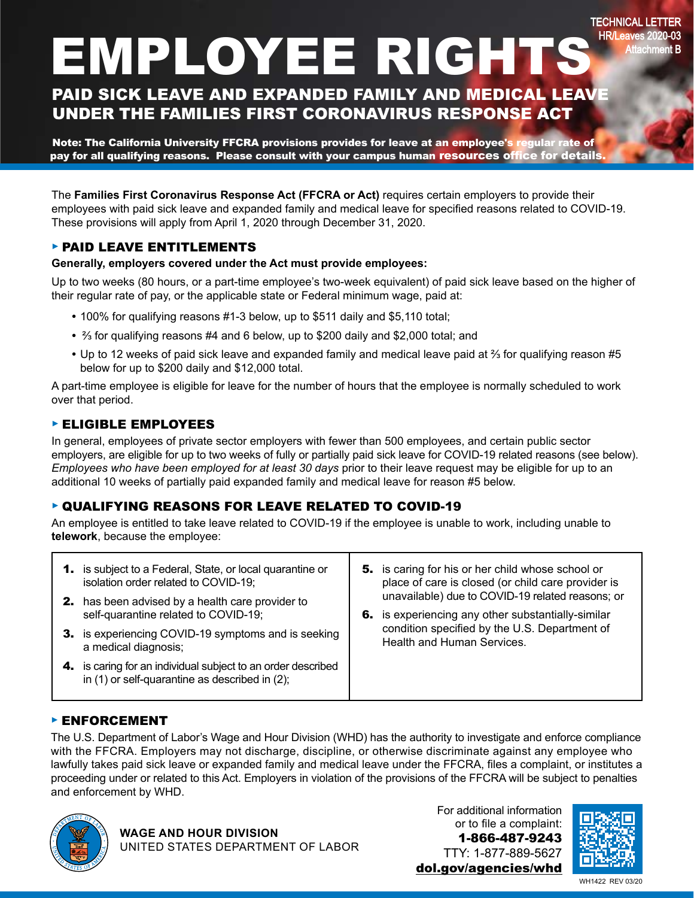# EMPLOYEE RIGHTS

TECHNICAL LETTER HR/Leaves 2020-03 Attachment B

## PAID SICK LEAVE AND EXPANDED FAMILY AND MEDICAL LEAVE UNDER THE FAMILIES FIRST CORONAVIRUS RESPONSE ACT

Note: The California University FFCRA provisions provides for leave at an employee's regular rate of pay for all qualifying reasons. Please consult with your campus human resources office for details

The **Families First Coronavirus Response Act (FFCRA or Act)** requires certain employers to provide their employees with paid sick leave and expanded family and medical leave for specified reasons related to COVID-19. These provisions will apply from April 1, 2020 through December 31, 2020.

## ► PAID LEAVE ENTITLEMENTS

## **Generally, employers covered under the Act must provide employees:**

Up to two weeks (80 hours, or a part-time employee's two-week equivalent) of paid sick leave based on the higher of their regular rate of pay, or the applicable state or Federal minimum wage, paid at:

- **•** 100% for qualifying reasons #1-3 below, up to \$511 daily and \$5,110 total;
- **•** 2/3 for qualifying reasons #4 and 6 below, up to \$200 daily and \$2,000 total; and
- Up to 12 weeks of paid sick leave and expanded family and medical leave paid at <sup>2</sup>/<sub>3</sub> for qualifying reason #5 below for up to \$200 daily and \$12,000 total.

A part-time employee is eligible for leave for the number of hours that the employee is normally scheduled to work over that period.

## ► ELIGIBLE EMPLOYEES

In general, employees of private sector employers with fewer than 500 employees, and certain public sector employers, are eligible for up to two weeks of fully or partially paid sick leave for COVID-19 related reasons (see below). *Employees who have been employed for at least 30 days* prior to their leave request may be eligible for up to an additional 10 weeks of partially paid expanded family and medical leave for reason #5 below.

## ► QUALIFYING REASONS FOR LEAVE RELATED TO COVID-19

An employee is entitled to take leave related to COVID-19 if the employee is unable to work, including unable to **telework**, because the employee:

| <b>1.</b> is subject to a Federal, State, or local quarantine or<br>isolation order related to COVID-19;<br><b>2.</b> has been advised by a health care provider to | 5. is caring for his or her child whose school or<br>place of care is closed (or child care provider is<br>unavailable) due to COVID-19 related reasons; or |
|---------------------------------------------------------------------------------------------------------------------------------------------------------------------|-------------------------------------------------------------------------------------------------------------------------------------------------------------|
| self-quarantine related to COVID-19;<br>3. is experiencing COVID-19 symptoms and is seeking<br>a medical diagnosis;                                                 | 6. is experiencing any other substantially-similar<br>condition specified by the U.S. Department of<br><b>Health and Human Services.</b>                    |
| 4. is caring for an individual subject to an order described<br>in $(1)$ or self-quarantine as described in $(2)$ ;                                                 |                                                                                                                                                             |

## ► ENFORCEMENT

The U.S. Department of Labor's Wage and Hour Division (WHD) has the authority to investigate and enforce compliance with the FFCRA. Employers may not discharge, discipline, or otherwise discriminate against any employee who lawfully takes paid sick leave or expanded family and medical leave under the FFCRA, files a complaint, or institutes a proceeding under or related to this Act. Employers in violation of the provisions of the FFCRA will be subject to penalties and enforcement by WHD.



For additional information or to file a complaint: 1-866-487-9243 TTY: 1-877-889-5627 [dol.gov/agencies/whd](http://www.dol.gov/agencies/whd)



WH1422 REV 03/20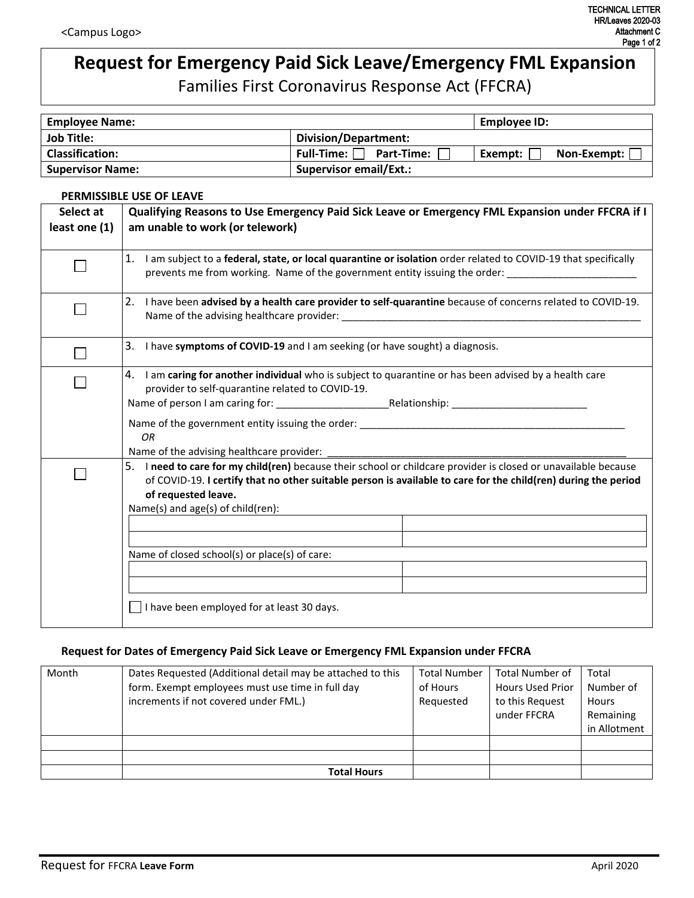## **Request for Emergency Paid Sick Leave/Emergency FML Expansion**

Families First Coronavirus Response Act (FFCRA)

| <b>Employee Name:</b>   |                                 | Employee ID:           |
|-------------------------|---------------------------------|------------------------|
| <b>Job Title:</b>       | Division/Department:            |                        |
| <b>Classification:</b>  | Full-Time:<br><b>Part-Time:</b> | Non-Exempt:<br>Exempt: |
| <b>Supervisor Name:</b> | <b>Supervisor email/Ext.:</b>   |                        |

#### **PERMISSIBLE USE OF LEAVE**

| Select at     | <b>Qualifying Reasons to Use Emergency Paid Sick Leave or Emergency FML Expansion under FFCRA if I</b>                                                                                                                                                                                        |  |  |
|---------------|-----------------------------------------------------------------------------------------------------------------------------------------------------------------------------------------------------------------------------------------------------------------------------------------------|--|--|
| least one (1) | am unable to work (or telework)                                                                                                                                                                                                                                                               |  |  |
|               |                                                                                                                                                                                                                                                                                               |  |  |
|               | 1. I am subject to a federal, state, or local quarantine or isolation order related to COVID-19 that specifically<br>prevents me from working. Name of the government entity issuing the order:                                                                                               |  |  |
|               | 2. I have been advised by a health care provider to self-quarantine because of concerns related to COVID-19.                                                                                                                                                                                  |  |  |
|               | 3. I have symptoms of COVID-19 and I am seeking (or have sought) a diagnosis.                                                                                                                                                                                                                 |  |  |
|               | 4. I am caring for another individual who is subject to quarantine or has been advised by a health care<br>provider to self-quarantine related to COVID-19.                                                                                                                                   |  |  |
|               | OR<br>Name of the advising healthcare provider:                                                                                                                                                                                                                                               |  |  |
|               | 5. I need to care for my child(ren) because their school or childcare provider is closed or unavailable because<br>of COVID-19. I certify that no other suitable person is available to care for the child(ren) during the period<br>of requested leave.<br>Name(s) and age(s) of child(ren): |  |  |
|               | Name of closed school(s) or place(s) of care:                                                                                                                                                                                                                                                 |  |  |
|               |                                                                                                                                                                                                                                                                                               |  |  |
|               | I have been employed for at least 30 days.                                                                                                                                                                                                                                                    |  |  |

## **Request for Dates of Emergency Paid Sick Leave or Emergency FML Expansion under FFCRA**

| Month | Dates Requested (Additional detail may be attached to this<br>form. Exempt employees must use time in full day<br>increments if not covered under FML.) | <b>Total Number</b><br>of Hours<br>Requested | <b>Total Number of</b><br><b>Hours Used Prior</b><br>to this Request<br>under FFCRA | Total<br>Number of<br><b>Hours</b><br>Remaining<br>in Allotment |
|-------|---------------------------------------------------------------------------------------------------------------------------------------------------------|----------------------------------------------|-------------------------------------------------------------------------------------|-----------------------------------------------------------------|
|       |                                                                                                                                                         |                                              |                                                                                     |                                                                 |
|       |                                                                                                                                                         |                                              |                                                                                     |                                                                 |
|       | <b>Total Hours</b>                                                                                                                                      |                                              |                                                                                     |                                                                 |